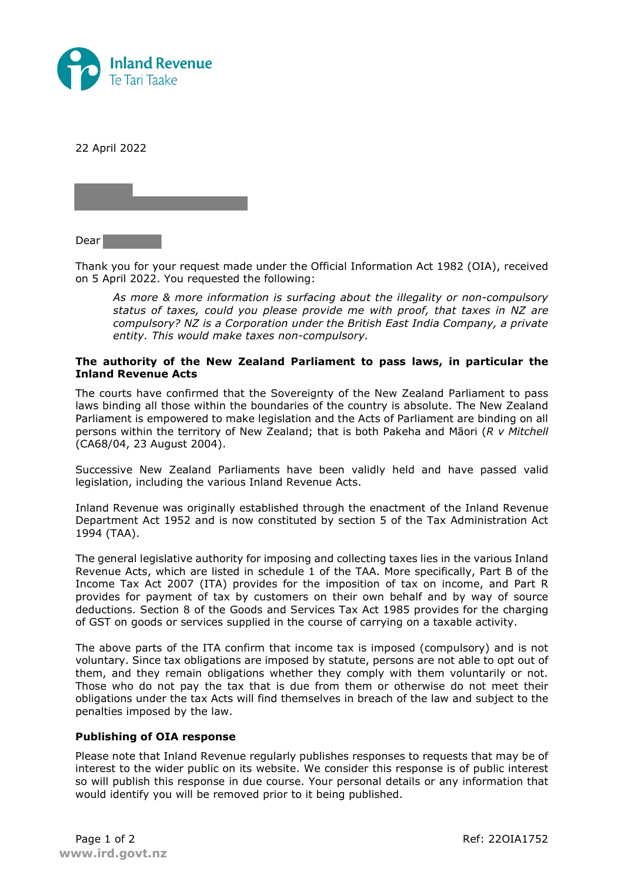

22 April 2022



Dear

Thank you for your request made under the Official Information Act 1982 (OIA), received on 5 April 2022. You requested the following:

*As more & more information is surfacing about the illegality or non-compulsory status of taxes, could you please provide me with proof, that taxes in NZ are compulsory? NZ is a Corporation under the British East India Company, a private entity. This would make taxes non-compulsory.*

## **The authority of the New Zealand Parliament to pass laws, in particular the Inland Revenue Acts**

The courts have confirmed that the Sovereignty of the New Zealand Parliament to pass laws binding all those within the boundaries of the country is absolute. The New Zealand Parliament is empowered to make legislation and the Acts of Parliament are binding on all persons within the territory of New Zealand; that is both Pakeha and Māori (*R v Mitchell* (CA68/04, 23 August 2004).

Successive New Zealand Parliaments have been validly held and have passed valid legislation, including the various Inland Revenue Acts.

Inland Revenue was originally established through the enactment of the Inland Revenue Department Act 1952 and is now constituted by section 5 of the Tax Administration Act 1994 (TAA).

The general legislative authority for imposing and collecting taxes lies in the various Inland Revenue Acts, which are listed in schedule 1 of the TAA. More specifically, Part B of the Income Tax Act 2007 (ITA) provides for the imposition of tax on income, and Part R provides for payment of tax by customers on their own behalf and by way of source deductions. Section 8 of the Goods and Services Tax Act 1985 provides for the charging of GST on goods or services supplied in the course of carrying on a taxable activity.

The above parts of the ITA confirm that income tax is imposed (compulsory) and is not voluntary. Since tax obligations are imposed by statute, persons are not able to opt out of them, and they remain obligations whether they comply with them voluntarily or not. Those who do not pay the tax that is due from them or otherwise do not meet their obligations under the tax Acts will find themselves in breach of the law and subject to the penalties imposed by the law.

## **Publishing of OIA response**

Please note that Inland Revenue regularly publishes responses to requests that may be of interest to the wider public on its website. We consider this response is of public interest so will publish this response in due course. Your personal details or any information that would identify you will be removed prior to it being published.